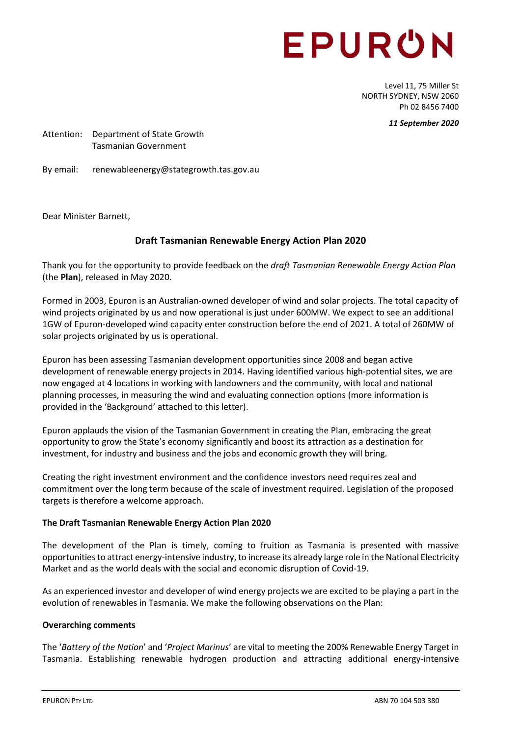# EPURON

Level 11, 75 Miller St NORTH SYDNEY, NSW 2060 Ph 02 8456 7400

*11 September 2020*

Attention: Department of State Growth Tasmanian Government

By email: renewableenergy@stategrowth.tas.gov.au

Dear Minister Barnett,

## **Draft Tasmanian Renewable Energy Action Plan 2020**

Thank you for the opportunity to provide feedback on the *draft Tasmanian Renewable Energy Action Plan* (the **Plan**), released in May 2020.

Formed in 2003, Epuron is an Australian-owned developer of wind and solar projects. The total capacity of wind projects originated by us and now operational is just under 600MW. We expect to see an additional 1GW of Epuron-developed wind capacity enter construction before the end of 2021. A total of 260MW of solar projects originated by us is operational.

Epuron has been assessing Tasmanian development opportunities since 2008 and began active development of renewable energy projects in 2014. Having identified various high-potential sites, we are now engaged at 4 locations in working with landowners and the community, with local and national planning processes, in measuring the wind and evaluating connection options (more information is provided in the 'Background' attached to this letter).

Epuron applauds the vision of the Tasmanian Government in creating the Plan, embracing the great opportunity to grow the State's economy significantly and boost its attraction as a destination for investment, for industry and business and the jobs and economic growth they will bring.

Creating the right investment environment and the confidence investors need requires zeal and commitment over the long term because of the scale of investment required. Legislation of the proposed targets is therefore a welcome approach.

## **The Draft Tasmanian Renewable Energy Action Plan 2020**

The development of the Plan is timely, coming to fruition as Tasmania is presented with massive opportunities to attract energy-intensive industry, to increase its already large role in the National Electricity Market and as the world deals with the social and economic disruption of Covid-19.

As an experienced investor and developer of wind energy projects we are excited to be playing a part in the evolution of renewables in Tasmania. We make the following observations on the Plan:

## **Overarching comments**

The '*Battery of the Nation*' and '*Project Marinus*' are vital to meeting the 200% Renewable Energy Target in Tasmania. Establishing renewable hydrogen production and attracting additional energy-intensive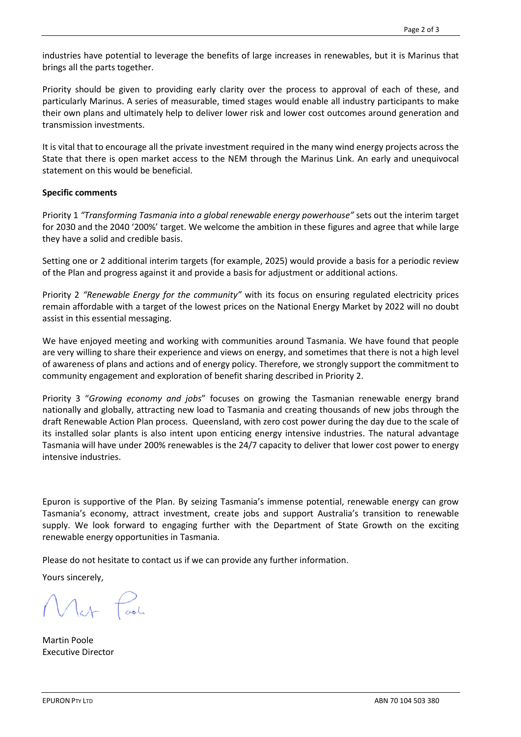industries have potential to leverage the benefits of large increases in renewables, but it is Marinus that brings all the parts together.

Priority should be given to providing early clarity over the process to approval of each of these, and particularly Marinus. A series of measurable, timed stages would enable all industry participants to make their own plans and ultimately help to deliver lower risk and lower cost outcomes around generation and transmission investments.

It is vital that to encourage all the private investment required in the many wind energy projects across the State that there is open market access to the NEM through the Marinus Link. An early and unequivocal statement on this would be beneficial.

#### **Specific comments**

Priority 1 *"Transforming Tasmania into a global renewable energy powerhouse"* sets out the interim target for 2030 and the 2040 '200%' target. We welcome the ambition in these figures and agree that while large they have a solid and credible basis.

Setting one or 2 additional interim targets (for example, 2025) would provide a basis for a periodic review of the Plan and progress against it and provide a basis for adjustment or additional actions.

Priority 2 *"Renewable Energy for the community"* with its focus on ensuring regulated electricity prices remain affordable with a target of the lowest prices on the National Energy Market by 2022 will no doubt assist in this essential messaging.

We have enjoyed meeting and working with communities around Tasmania. We have found that people are very willing to share their experience and views on energy, and sometimes that there is not a high level of awareness of plans and actions and of energy policy. Therefore, we strongly support the commitment to community engagement and exploration of benefit sharing described in Priority 2.

Priority 3 "*Growing economy and jobs*" focuses on growing the Tasmanian renewable energy brand nationally and globally, attracting new load to Tasmania and creating thousands of new jobs through the draft Renewable Action Plan process. Queensland, with zero cost power during the day due to the scale of its installed solar plants is also intent upon enticing energy intensive industries. The natural advantage Tasmania will have under 200% renewables is the 24/7 capacity to deliver that lower cost power to energy intensive industries.

Epuron is supportive of the Plan. By seizing Tasmania's immense potential, renewable energy can grow Tasmania's economy, attract investment, create jobs and support Australia's transition to renewable supply. We look forward to engaging further with the Department of State Growth on the exciting renewable energy opportunities in Tasmania.

Please do not hesitate to contact us if we can provide any further information.

Yours sincerely,

Martin Poole Executive Director